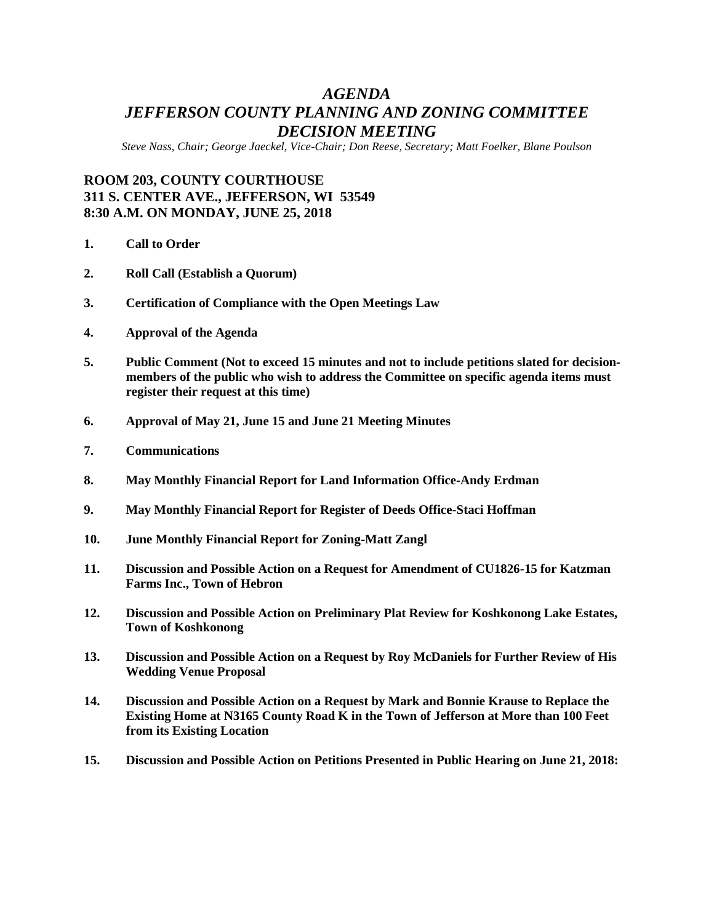## *AGENDA JEFFERSON COUNTY PLANNING AND ZONING COMMITTEE DECISION MEETING*

*Steve Nass, Chair; George Jaeckel, Vice-Chair; Don Reese, Secretary; Matt Foelker, Blane Poulson*

## **ROOM 203, COUNTY COURTHOUSE 311 S. CENTER AVE., JEFFERSON, WI 53549 8:30 A.M. ON MONDAY, JUNE 25, 2018**

- **1. Call to Order**
- **2. Roll Call (Establish a Quorum)**
- **3. Certification of Compliance with the Open Meetings Law**
- **4. Approval of the Agenda**
- **5. Public Comment (Not to exceed 15 minutes and not to include petitions slated for decisionmembers of the public who wish to address the Committee on specific agenda items must register their request at this time)**
- **6. Approval of May 21, June 15 and June 21 Meeting Minutes**
- **7. Communications**
- **8. May Monthly Financial Report for Land Information Office-Andy Erdman**
- **9. May Monthly Financial Report for Register of Deeds Office-Staci Hoffman**
- **10. June Monthly Financial Report for Zoning-Matt Zangl**
- **11. Discussion and Possible Action on a Request for Amendment of CU1826-15 for Katzman Farms Inc., Town of Hebron**
- **12. Discussion and Possible Action on Preliminary Plat Review for Koshkonong Lake Estates, Town of Koshkonong**
- **13. Discussion and Possible Action on a Request by Roy McDaniels for Further Review of His Wedding Venue Proposal**
- **14. Discussion and Possible Action on a Request by Mark and Bonnie Krause to Replace the Existing Home at N3165 County Road K in the Town of Jefferson at More than 100 Feet from its Existing Location**
- **15. Discussion and Possible Action on Petitions Presented in Public Hearing on June 21, 2018:**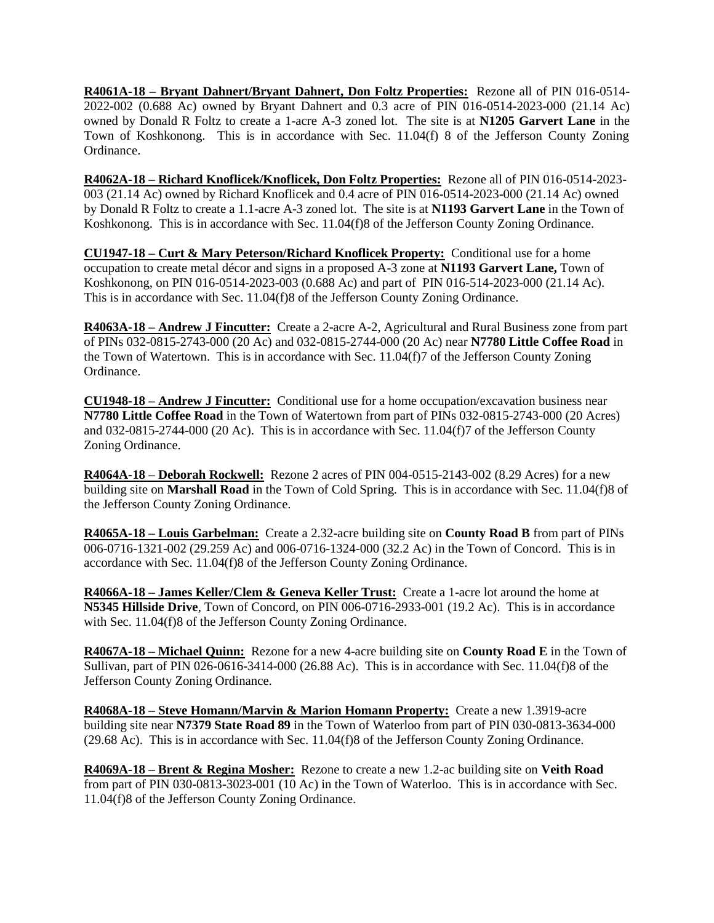**R4061A-18 – Bryant Dahnert/Bryant Dahnert, Don Foltz Properties:** Rezone all of PIN 016-0514- 2022-002 (0.688 Ac) owned by Bryant Dahnert and 0.3 acre of PIN 016-0514-2023-000 (21.14 Ac) owned by Donald R Foltz to create a 1-acre A-3 zoned lot. The site is at **N1205 Garvert Lane** in the Town of Koshkonong. This is in accordance with Sec. 11.04(f) 8 of the Jefferson County Zoning Ordinance.

**R4062A-18 – Richard Knoflicek/Knoflicek, Don Foltz Properties:** Rezone all of PIN 016-0514-2023- 003 (21.14 Ac) owned by Richard Knoflicek and 0.4 acre of PIN 016-0514-2023-000 (21.14 Ac) owned by Donald R Foltz to create a 1.1-acre A-3 zoned lot. The site is at **N1193 Garvert Lane** in the Town of Koshkonong. This is in accordance with Sec. 11.04(f)8 of the Jefferson County Zoning Ordinance.

**CU1947-18 – Curt & Mary Peterson/Richard Knoflicek Property:** Conditional use for a home occupation to create metal décor and signs in a proposed A-3 zone at **N1193 Garvert Lane,** Town of Koshkonong, on PIN 016-0514-2023-003 (0.688 Ac) and part of PIN 016-514-2023-000 (21.14 Ac). This is in accordance with Sec. 11.04(f)8 of the Jefferson County Zoning Ordinance.

**R4063A-18 – Andrew J Fincutter:** Create a 2-acre A-2, Agricultural and Rural Business zone from part of PINs 032-0815-2743-000 (20 Ac) and 032-0815-2744-000 (20 Ac) near **N7780 Little Coffee Road** in the Town of Watertown. This is in accordance with Sec. 11.04(f)7 of the Jefferson County Zoning Ordinance.

**CU1948-18 – Andrew J Fincutter:** Conditional use for a home occupation/excavation business near **N7780 Little Coffee Road** in the Town of Watertown from part of PINs 032-0815-2743-000 (20 Acres) and 032-0815-2744-000 (20 Ac). This is in accordance with Sec. 11.04(f)7 of the Jefferson County Zoning Ordinance.

**R4064A-18 – Deborah Rockwell:** Rezone 2 acres of PIN 004-0515-2143-002 (8.29 Acres) for a new building site on **Marshall Road** in the Town of Cold Spring. This is in accordance with Sec. 11.04(f)8 of the Jefferson County Zoning Ordinance.

**R4065A-18 – Louis Garbelman:** Create a 2.32-acre building site on **County Road B** from part of PINs 006-0716-1321-002 (29.259 Ac) and 006-0716-1324-000 (32.2 Ac) in the Town of Concord. This is in accordance with Sec. 11.04(f)8 of the Jefferson County Zoning Ordinance.

**R4066A-18 – James Keller/Clem & Geneva Keller Trust:** Create a 1-acre lot around the home at **N5345 Hillside Drive**, Town of Concord, on PIN 006-0716-2933-001 (19.2 Ac). This is in accordance with Sec. 11.04(f)8 of the Jefferson County Zoning Ordinance.

**R4067A-18 – Michael Quinn:** Rezone for a new 4-acre building site on **County Road E** in the Town of Sullivan, part of PIN 026-0616-3414-000 (26.88 Ac). This is in accordance with Sec. 11.04(f)8 of the Jefferson County Zoning Ordinance.

**R4068A-18 – Steve Homann/Marvin & Marion Homann Property:** Create a new 1.3919-acre building site near **N7379 State Road 89** in the Town of Waterloo from part of PIN 030-0813-3634-000 (29.68 Ac). This is in accordance with Sec. 11.04(f)8 of the Jefferson County Zoning Ordinance.

**R4069A-18 – Brent & Regina Mosher:** Rezone to create a new 1.2-ac building site on **Veith Road** from part of PIN 030-0813-3023-001 (10 Ac) in the Town of Waterloo. This is in accordance with Sec. 11.04(f)8 of the Jefferson County Zoning Ordinance.